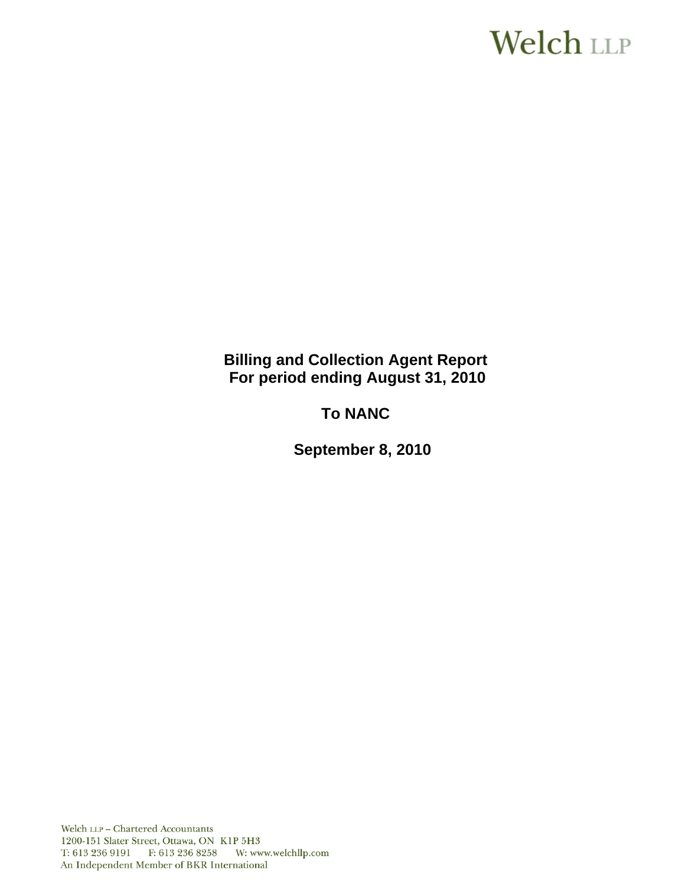# Welch LLP

**Billing and Collection Agent Report For period ending August 31, 2010**

**To NANC** 

 **September 8, 2010**

Welch LLP - Chartered Accountants 1200-151 Slater Street, Ottawa, ON K1P 5H3 T: 613 236 9191 F: 613 236 8258 W: www.welchllp.com An Independent Member of BKR International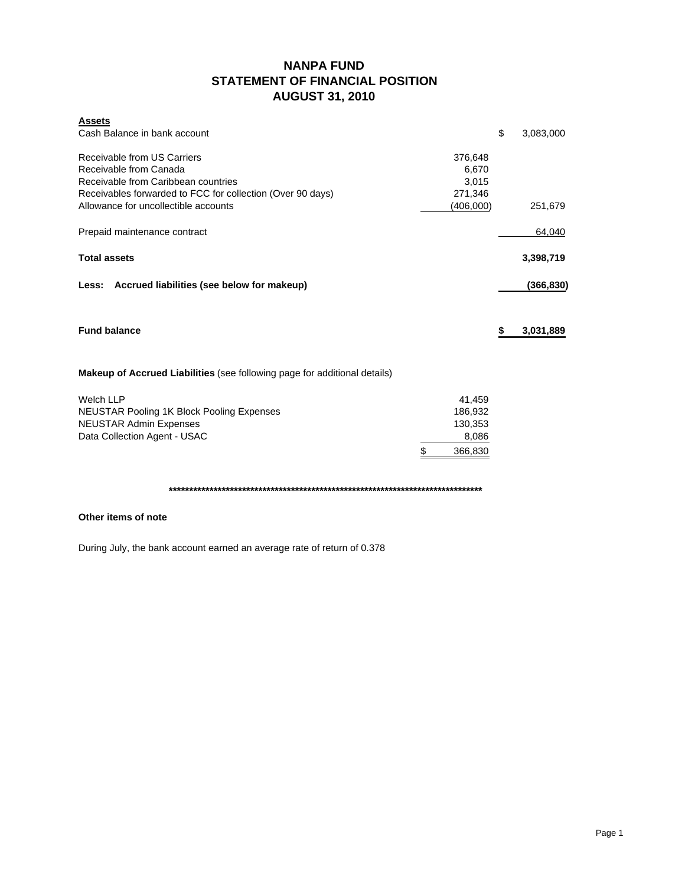# **NANPA FUND STATEMENT OF FINANCIAL POSITION AUGUST 31, 2010**

| <b>Assets</b>                                                             |               |                 |
|---------------------------------------------------------------------------|---------------|-----------------|
| Cash Balance in bank account                                              |               | \$<br>3,083,000 |
| Receivable from US Carriers                                               | 376,648       |                 |
| Receivable from Canada                                                    | 6,670         |                 |
| Receivable from Caribbean countries                                       | 3,015         |                 |
| Receivables forwarded to FCC for collection (Over 90 days)                | 271,346       |                 |
| Allowance for uncollectible accounts                                      | (406,000)     | 251,679         |
| Prepaid maintenance contract                                              |               | 64,040          |
| <b>Total assets</b>                                                       |               | 3,398,719       |
| Less: Accrued liabilities (see below for makeup)                          |               | (366,830)       |
| <b>Fund balance</b>                                                       |               | \$<br>3,031,889 |
| Makeup of Accrued Liabilities (see following page for additional details) |               |                 |
| <b>Welch LLP</b>                                                          | 41,459        |                 |
| <b>NEUSTAR Pooling 1K Block Pooling Expenses</b>                          | 186,932       |                 |
| <b>NEUSTAR Admin Expenses</b>                                             | 130,353       |                 |
| Data Collection Agent - USAC                                              | 8,086         |                 |
|                                                                           | \$<br>366,830 |                 |

**\*\*\*\*\*\*\*\*\*\*\*\*\*\*\*\*\*\*\*\*\*\*\*\*\*\*\*\*\*\*\*\*\*\*\*\*\*\*\*\*\*\*\*\*\*\*\*\*\*\*\*\*\*\*\*\*\*\*\*\*\*\*\*\*\*\*\*\*\*\*\*\*\*\*\*\*\***

#### **Other items of note**

During July, the bank account earned an average rate of return of 0.378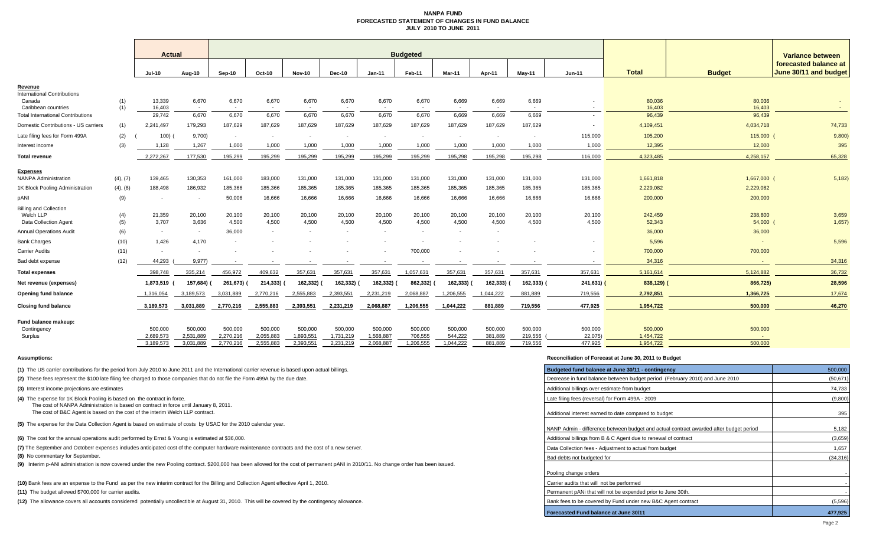#### **NANPA FUND FORECASTED STATEMENT OF CHANGES IN FUND BALANCEJULY 2010 TO JUNE 2011**

|                                                                     |            | <b>Actual</b>            |                                   | <b>Budgeted</b>      |                      |                          |                      |                          |                    |                          |                          |                          |                    | <b>Variance between</b> |                   |                                                |  |
|---------------------------------------------------------------------|------------|--------------------------|-----------------------------------|----------------------|----------------------|--------------------------|----------------------|--------------------------|--------------------|--------------------------|--------------------------|--------------------------|--------------------|-------------------------|-------------------|------------------------------------------------|--|
|                                                                     |            | <b>Jul-10</b>            | Aug-10                            | Sep-10               | <b>Oct-10</b>        | <b>Nov-10</b>            | Dec-10               | $Jan-11$                 | Feb-11             | <b>Mar-11</b>            | Apr-11                   | <b>Mav-11</b>            | $Jun-11$           | <b>Total</b>            | <b>Budget</b>     | forecasted balance at<br>June 30/11 and budget |  |
| Revenue                                                             |            |                          |                                   |                      |                      |                          |                      |                          |                    |                          |                          |                          |                    |                         |                   |                                                |  |
| <b>International Contributions</b><br>Canada<br>Caribbean countries | (1)<br>(1) | 13,339<br>16.403         | 6,670<br>$\overline{\phantom{a}}$ | 6,670                | 6,670                | 6,670                    | 6,670                | 6,670                    | 6,670              | 6,669                    | 6,669                    | 6,669                    |                    | 80,036<br>16,403        | 80,036<br>16.403  |                                                |  |
| <b>Total International Contributions</b>                            |            | 29.742                   | 6,670                             | 6.670                | 6,670                | 6,670                    | 6.670                | 6,670                    | 6,670              | 6,669                    | 6.669                    | 6,669                    |                    | 96,439                  | 96,439            |                                                |  |
| Domestic Contributions - US carriers                                | (1)        | 2,241,497                | 179,293                           | 187,629              | 187,629              | 187,629                  | 187,629              | 187,629                  | 187,629            | 187,629                  | 187,629                  | 187,629                  |                    | 4,109,451               | 4,034,718         | 74,733                                         |  |
| Late filing fees for Form 499A                                      | (2)        | 100)                     | 9,700)                            | $\sim$               | $\sim$               | $\overline{\phantom{a}}$ | $\sim$               | $\overline{\phantom{a}}$ | $\sim$             | $\overline{\phantom{a}}$ | $\overline{\phantom{a}}$ | $\overline{\phantom{a}}$ | 115,000            | 105,200                 | 115,000           | 9,800)                                         |  |
| nterest income                                                      | (3)        | 1,128                    | 1,267                             | 1,000                | 1,000                | 1,000                    | 1,000                | 1,000                    | 1,000              | 1,000                    | 1,000                    | 1,000                    | 1,000              | 12,395                  | 12,000            | 395                                            |  |
| Total revenue                                                       |            | 2,272,267                | 177.530                           | 195.299              | 195,299              | 195.299                  | 195,299              | 195,299                  | 195,299            | 195.298                  | 195.298                  | 195,298                  | 116,000            | 4,323,485               | 4,258,157         | 65,328                                         |  |
| <b>Expenses</b>                                                     |            |                          |                                   |                      |                      |                          |                      |                          |                    |                          |                          |                          |                    |                         |                   |                                                |  |
| <b>NANPA Administration</b>                                         | (4), (7)   | 139,465                  | 130,353                           | 161,000              | 183,000              | 131,000                  | 131,000              | 131,000                  | 131,000            | 131,000                  | 131,000                  | 131,000                  | 131,000            | 1,661,818               | 1,667,000         | 5,182)                                         |  |
| 1K Block Pooling Administration                                     | (4), (8)   | 188,498                  | 186,932                           | 185,366              | 185,366              | 185,365                  | 185,365              | 185,365                  | 185,365            | 185,365                  | 185,365                  | 185,365                  | 185,365            | 2,229,082               | 2,229,082         |                                                |  |
| pANI                                                                | (9)        |                          | $\overline{\phantom{a}}$          | 50,006               | 16,666               | 16,666                   | 16,666               | 16,666                   | 16,666             | 16,666                   | 16,666                   | 16,666                   | 16,666             | 200,000                 | 200,000           |                                                |  |
| <b>Billing and Collection</b>                                       |            |                          |                                   |                      |                      |                          |                      |                          |                    |                          |                          |                          |                    |                         |                   |                                                |  |
| Welch LLP<br><b>Data Collection Agent</b>                           | (4)<br>(5) | 21,359<br>3,707          | 20,100<br>3,636                   | 20,100<br>4,500      | 20,100<br>4,500      | 20,100<br>4,500          | 20,100<br>4,500      | 20,100<br>4,500          | 20,100<br>4,500    | 20,100<br>4,500          | 20,100<br>4,500          | 20,100<br>4,500          | 20,100<br>4,500    | 242,459<br>52,343       | 238,800<br>54,000 | 3,659<br>1,657)                                |  |
| <b>Annual Operations Audit</b>                                      | (6)        | $\sim$                   | $\sim$                            | 36,000               |                      | $\overline{\phantom{a}}$ |                      |                          | $\sim$             |                          |                          |                          |                    | 36,000                  | 36,000            |                                                |  |
| <b>Bank Charges</b>                                                 | (10)       | 1.426                    | 4,170                             |                      |                      |                          |                      |                          |                    |                          |                          |                          |                    | 5,596                   |                   | 5,596                                          |  |
| <b>Carrier Audits</b>                                               | (11)       | $\overline{\phantom{a}}$ | $\overline{\phantom{a}}$          |                      |                      |                          |                      |                          | 700,000            |                          |                          |                          |                    | 700,000                 | 700,000           |                                                |  |
| Bad debt expense                                                    | (12)       | 44.293                   | 9,977                             |                      |                      |                          |                      |                          |                    |                          |                          |                          |                    | 34,316                  |                   | 34,316                                         |  |
| <b>Total expenses</b>                                               |            | 398,748                  | 335,214                           | 456,972              | 409,632              | 357,631                  | 357,631              | 357,631                  | 1,057,631          | 357,631                  | 357,631                  | 357,631                  | 357,631            | 5,161,614               | 5,124,882         | 36,732                                         |  |
| Net revenue (expenses)                                              |            | 1,873,519                | 157,684) (                        | 261,673)             | 214,333)             | 162,332)                 | 162,332)             | 162,332)                 | 862,332)           | 162,333) (               | 162,333)                 | 162,333)                 | 241,631) (         | 838,129)                | 866,725)          | 28,596                                         |  |
| <b>Opening fund balance</b>                                         |            | 1,316,054                | 3,189,573                         | 3,031,889            | 2,770,216            | 2,555,883                | 2,393,551            | 2,231,219                | 2,068,887          | 1,206,555                | 1,044,222                | 881,889                  | 719,556            | 2,792,851               | 1,366,725         | 17,674                                         |  |
| <b>Closing fund balance</b>                                         |            | 3,189,573                |                                   | 2,770,216            | 2,555,883            | 2,393,551                |                      | 2,068,887                | 1.206.555          | 1.044.222                | 881.889                  | 719,556                  | 477,925            | 1,954,722               | 500.000           | 46,270                                         |  |
|                                                                     |            |                          | 3,031,889                         |                      |                      |                          | 2,231,219            |                          |                    |                          |                          |                          |                    |                         |                   |                                                |  |
| Fund balance makeup:                                                |            |                          |                                   |                      |                      |                          |                      |                          |                    |                          |                          |                          |                    |                         |                   |                                                |  |
| Contingency<br>Surplus                                              |            | 500,000<br>2,689,573     | 500,000<br>2,531,889              | 500,000<br>2,270,216 | 500,000<br>2,055,883 | 500,000<br>1,893,551     | 500,000<br>1,731,219 | 500,000<br>1,568,887     | 500,000<br>706,555 | 500,000<br>544,222       | 500,000<br>381,889       | 500,000<br>219,556       | 500,000<br>22,075) | 500,000<br>1,454,722    | 500,000           |                                                |  |
|                                                                     |            | 3,189,573                | 3,031,889                         | 2,770,216            | 2,555,883            | 2,393,551                | 2,231,219            | 2,068,887                | 1,206,555          | 1,044,222                | 881,889                  | 719,556                  | 477,925            | 1,954,722               | 500,000           |                                                |  |
|                                                                     |            |                          |                                   |                      |                      |                          |                      |                          |                    |                          |                          |                          |                    |                         |                   |                                                |  |

**(1)** The US carrier contributions for the period from July 2010 to June 2011 and the International carrier revenue is based upon actual billings.

**(2)** These fees represent the \$100 late filing fee charged to those companies that do not file the Form 499A by the due date.

**(3)** Interest income projections are estimates

**(4)** The expense for 1K Block Pooling is based on the contract in force.

The cost of NANPA Administration is based on contract in force until January 8, 2011.

The cost of B&C Agent is based on the cost of the interim Welch LLP contract.

**(5)** The expense for the Data Collection Agent is based on estimate of costs by USAC for the 2010 calendar year.

**(6)** The cost for the annual operations audit performed by Ernst & Young is estimated at \$36,000.

(7) The September and Octoberr expenses includes anticipated cost of the computer hardware maintenance contracts and the cost of a new server.

**(8)** No commentary for September.

**(9)** Interim p-ANI administration is now covered under the new Pooling contract. \$200,000 has been allowed for the cost of permanent pANI in 2010/11. No change order has been issued.

**(10)** Bank fees are an expense to the Fund as per the new interim contract for the Billing and Collection Agent effective April 1, 2010.

**(11)** The budget allowed \$700,000 for carrier audits.

**(12)** The allowance covers all accounts considered potentially uncollectible at August 31, 2010. This will be covered by the contingency allowance.

#### **Assumptions: Reconciliation of Forecast at June 30, 2011 to Budget**

| Budgeted fund balance at June 30/11 - contingency                                      | 500,000   |
|----------------------------------------------------------------------------------------|-----------|
| Decrease in fund balance between budget period (February 2010) and June 2010           | (50, 671) |
| Additional billings over estimate from budget                                          | 74,733    |
| Late filing fees (reversal) for Form 499A - 2009                                       | (9,800)   |
| Additional interest earned to date compared to budget                                  | 395       |
| NANP Admin - difference between budget and actual contract awarded after budget period | 5,182     |
| Additional billings from B & C Agent due to renewal of contract                        | (3,659)   |
| Data Collection fees - Adjustment to actual from budget                                | 1,657     |
| Bad debts not budgeted for                                                             | (34, 316) |
| Pooling change orders                                                                  |           |
| Carrier audits that will not be performed                                              |           |
| Permanent pANi that will not be expended prior to June 30th.                           |           |
| Bank fees to be covered by Fund under new B&C Agent contract                           | (5,596)   |
| <b>Forecasted Fund balance at June 30/11</b>                                           | 477.925   |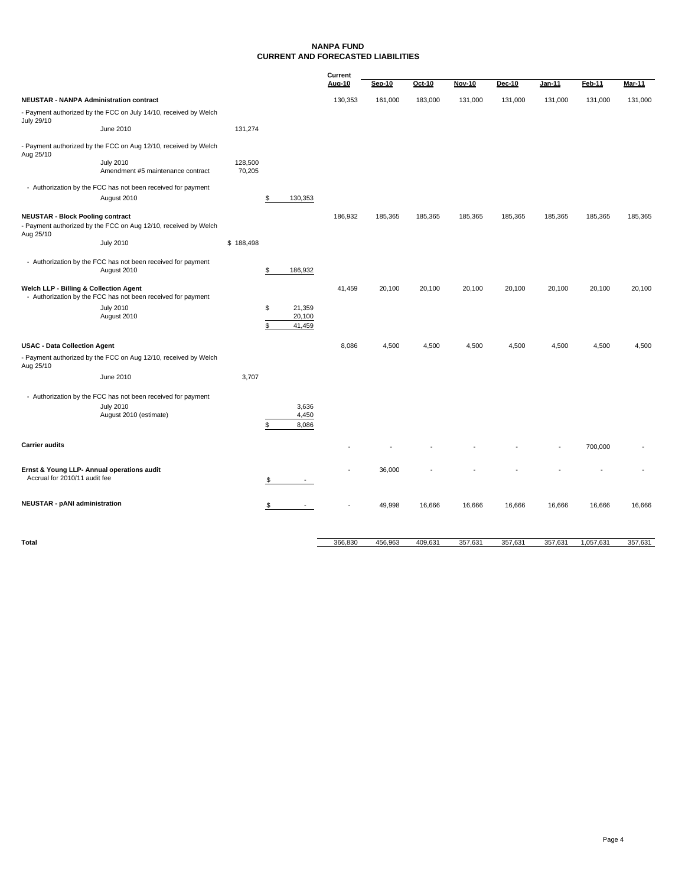#### **NANPA FUND CURRENT AND FORECASTED LIABILITIES**

|                                                                                                                         |                                                                                                            |                   |          |                            | Current |         |         |               |               |               |         |               |
|-------------------------------------------------------------------------------------------------------------------------|------------------------------------------------------------------------------------------------------------|-------------------|----------|----------------------------|---------|---------|---------|---------------|---------------|---------------|---------|---------------|
|                                                                                                                         |                                                                                                            |                   |          |                            | Aug-10  | Sep-10  | Oct-10  | <b>Nov-10</b> | <b>Dec-10</b> | <b>Jan-11</b> | Feb-11  | <b>Mar-11</b> |
| <b>NEUSTAR - NANPA Administration contract</b>                                                                          |                                                                                                            |                   |          |                            | 130,353 | 161,000 | 183,000 | 131,000       | 131,000       | 131,000       | 131,000 | 131,000       |
| July 29/10                                                                                                              | - Payment authorized by the FCC on July 14/10, received by Welch                                           |                   |          |                            |         |         |         |               |               |               |         |               |
|                                                                                                                         | June 2010                                                                                                  | 131,274           |          |                            |         |         |         |               |               |               |         |               |
| Aug 25/10                                                                                                               | - Payment authorized by the FCC on Aug 12/10, received by Welch                                            |                   |          |                            |         |         |         |               |               |               |         |               |
|                                                                                                                         | <b>July 2010</b><br>Amendment #5 maintenance contract                                                      | 128,500<br>70,205 |          |                            |         |         |         |               |               |               |         |               |
|                                                                                                                         | - Authorization by the FCC has not been received for payment                                               |                   |          |                            |         |         |         |               |               |               |         |               |
|                                                                                                                         | August 2010                                                                                                |                   | \$       | 130,353                    |         |         |         |               |               |               |         |               |
| <b>NEUSTAR - Block Pooling contract</b><br>- Payment authorized by the FCC on Aug 12/10, received by Welch<br>Aug 25/10 |                                                                                                            |                   |          |                            | 186,932 | 185,365 | 185,365 | 185,365       | 185,365       | 185,365       | 185,365 | 185,365       |
|                                                                                                                         | <b>July 2010</b>                                                                                           | \$188,498         |          |                            |         |         |         |               |               |               |         |               |
|                                                                                                                         | - Authorization by the FCC has not been received for payment<br>August 2010                                |                   | \$       | 186,932                    |         |         |         |               |               |               |         |               |
| Welch LLP - Billing & Collection Agent                                                                                  | - Authorization by the FCC has not been received for payment                                               |                   |          |                            | 41,459  | 20,100  | 20,100  | 20,100        | 20,100        | 20,100        | 20,100  | 20,100        |
|                                                                                                                         | <b>July 2010</b><br>August 2010                                                                            |                   | \$<br>\$ | 21,359<br>20,100<br>41,459 |         |         |         |               |               |               |         |               |
| <b>USAC - Data Collection Agent</b>                                                                                     |                                                                                                            |                   |          |                            | 8.086   | 4,500   | 4,500   | 4,500         | 4,500         | 4,500         | 4,500   | 4,500         |
| Aug 25/10                                                                                                               | - Payment authorized by the FCC on Aug 12/10, received by Welch                                            |                   |          |                            |         |         |         |               |               |               |         |               |
|                                                                                                                         | June 2010                                                                                                  | 3,707             |          |                            |         |         |         |               |               |               |         |               |
|                                                                                                                         | - Authorization by the FCC has not been received for payment<br><b>July 2010</b><br>August 2010 (estimate) |                   | \$       | 3,636<br>4,450<br>8,086    |         |         |         |               |               |               |         |               |
| <b>Carrier audits</b>                                                                                                   |                                                                                                            |                   |          |                            |         |         |         |               |               |               | 700,000 |               |
| Ernst & Young LLP- Annual operations audit<br>Accrual for 2010/11 audit fee                                             |                                                                                                            |                   | S        |                            |         | 36,000  |         |               |               |               |         |               |
| <b>NEUSTAR - pANI administration</b>                                                                                    |                                                                                                            |                   | \$       |                            |         | 49,998  | 16,666  | 16,666        | 16,666        | 16,666        | 16,666  | 16,666        |
|                                                                                                                         |                                                                                                            |                   |          |                            |         |         |         |               |               |               |         |               |

**Total Total** 456,830 456,830 409,631 357,631 357,631 357,631 357,631 1,057,631 357,631